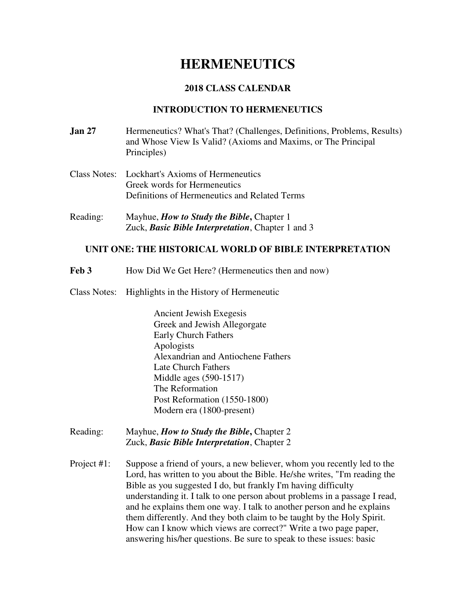# **HERMENEUTICS**

# **2018 CLASS CALENDAR**

# **INTRODUCTION TO HERMENEUTICS**

- **Jan 27 Hermeneutics?** What's That? (Challenges, Definitions, Problems, Results) and Whose View Is Valid? (Axioms and Maxims, or The Principal Principles)
- Class Notes: Lockhart's Axioms of Hermeneutics Greek words for Hermeneutics Definitions of Hermeneutics and Related Terms
- Reading: Mayhue, *How to Study the Bible***,** Chapter 1 Zuck, *Basic Bible Interpretation*, Chapter 1 and 3

### **UNIT ONE: THE HISTORICAL WORLD OF BIBLE INTERPRETATION**

- Feb 3 **How Did We Get Here?** (Hermeneutics then and now)
- Class Notes: Highlights in the History of Hermeneutic

Ancient Jewish Exegesis Greek and Jewish Allegorgate Early Church Fathers Apologists Alexandrian and Antiochene Fathers Late Church Fathers Middle ages (590-1517) The Reformation Post Reformation (1550-1800) Modern era (1800-present)

- Reading: Mayhue, *How to Study the Bible***,** Chapter 2 Zuck, *Basic Bible Interpretation*, Chapter 2
- Project #1: Suppose a friend of yours, a new believer, whom you recently led to the Lord, has written to you about the Bible. He/she writes, "I'm reading the Bible as you suggested I do, but frankly I'm having difficulty understanding it. I talk to one person about problems in a passage I read, and he explains them one way. I talk to another person and he explains them differently. And they both claim to be taught by the Holy Spirit. How can I know which views are correct?" Write a two page paper, answering his/her questions. Be sure to speak to these issues: basic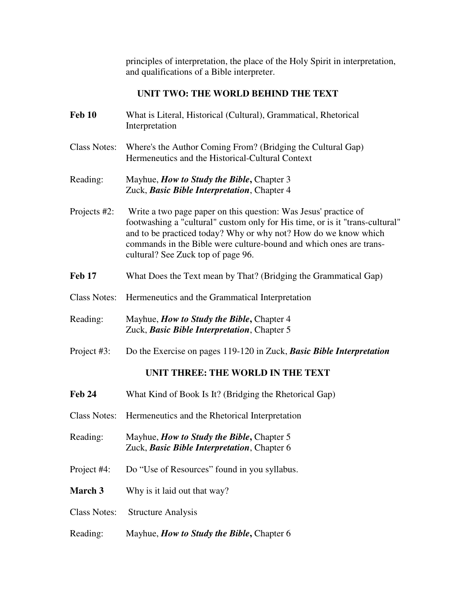principles of interpretation, the place of the Holy Spirit in interpretation, and qualifications of a Bible interpreter.

# **UNIT TWO: THE WORLD BEHIND THE TEXT**

**Feb 10** What is Literal, Historical (Cultural), Grammatical, Rhetorical Interpretation Class Notes: Where's the Author Coming From? (Bridging the Cultural Gap) Hermeneutics and the Historical-Cultural Context Reading: Mayhue, *How to Study the Bible***,** Chapter 3 Zuck, *Basic Bible Interpretation*, Chapter 4 Projects #2: Write a two page paper on this question: Was Jesus' practice of footwashing a "cultural" custom only for His time, or is it "trans-cultural" and to be practiced today? Why or why not? How do we know which commands in the Bible were culture-bound and which ones are trans cultural? See Zuck top of page 96. **Feb 17** What Does the Text mean by That? (Bridging the Grammatical Gap) Class Notes: Hermeneutics and the Grammatical Interpretation Reading: Mayhue, *How to Study the Bible***,** Chapter 4 Zuck, *Basic Bible Interpretation*, Chapter 5 Project #3: Do the Exercise on pages 119-120 in Zuck, *Basic Bible Interpretation*  **UNIT THREE: THE WORLD IN THE TEXT Feb 24** What Kind of Book Is It? (Bridging the Rhetorical Gap) Class Notes: Hermeneutics and the Rhetorical Interpretation Reading: Mayhue, *How to Study the Bible***,** Chapter 5 Zuck, *Basic Bible Interpretation*, Chapter 6 Project #4: Do "Use of Resources" found in you syllabus. **March 3** Why is it laid out that way? Class Notes: Structure Analysis Reading: Mayhue, *How to Study the Bible***,** Chapter 6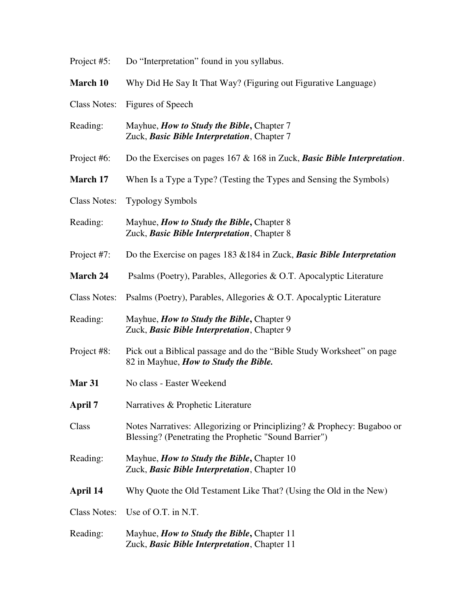| Project #5:         | Do "Interpretation" found in you syllabus.                                                                                       |
|---------------------|----------------------------------------------------------------------------------------------------------------------------------|
| March 10            | Why Did He Say It That Way? (Figuring out Figurative Language)                                                                   |
| <b>Class Notes:</b> | Figures of Speech                                                                                                                |
| Reading:            | Mayhue, <i>How to Study the Bible</i> , Chapter 7<br>Zuck, Basic Bible Interpretation, Chapter 7                                 |
| Project #6:         | Do the Exercises on pages $167 \& 168$ in Zuck, <b>Basic Bible Interpretation</b> .                                              |
| <b>March 17</b>     | When Is a Type a Type? (Testing the Types and Sensing the Symbols)                                                               |
| <b>Class Notes:</b> | <b>Typology Symbols</b>                                                                                                          |
| Reading:            | Mayhue, <i>How to Study the Bible</i> , Chapter 8<br>Zuck, Basic Bible Interpretation, Chapter 8                                 |
| Project #7:         | Do the Exercise on pages $183 \& 184$ in Zuck, <b>Basic Bible Interpretation</b>                                                 |
| March 24            | Psalms (Poetry), Parables, Allegories & O.T. Apocalyptic Literature                                                              |
| <b>Class Notes:</b> | Psalms (Poetry), Parables, Allegories & O.T. Apocalyptic Literature                                                              |
| Reading:            | Mayhue, <i>How to Study the Bible</i> , Chapter 9<br>Zuck, Basic Bible Interpretation, Chapter 9                                 |
| Project #8:         | Pick out a Biblical passage and do the "Bible Study Worksheet" on page<br>82 in Mayhue, How to Study the Bible.                  |
| Mar 31              | No class - Easter Weekend                                                                                                        |
| <b>April 7</b>      | Narratives & Prophetic Literature                                                                                                |
| Class               | Notes Narratives: Allegorizing or Principlizing? & Prophecy: Bugaboo or<br>Blessing? (Penetrating the Prophetic "Sound Barrier") |
| Reading:            | Mayhue, <i>How to Study the Bible</i> , Chapter 10<br>Zuck, Basic Bible Interpretation, Chapter 10                               |
| April 14            | Why Quote the Old Testament Like That? (Using the Old in the New)                                                                |
| <b>Class Notes:</b> | Use of O.T. in N.T.                                                                                                              |
| Reading:            | Mayhue, <i>How to Study the Bible</i> , Chapter 11<br>Zuck, Basic Bible Interpretation, Chapter 11                               |